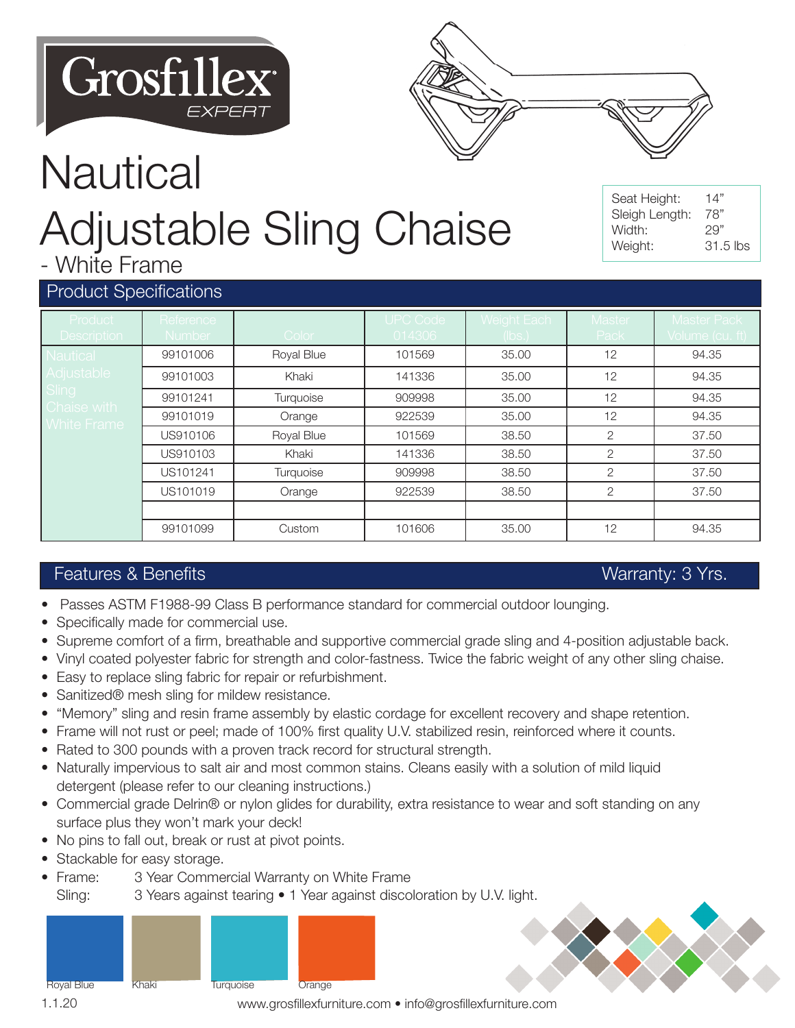



## **Nautical** Adjustable Sling Chaise - White Frame

| Seat Height:   | 14"        |
|----------------|------------|
| Sleigh Length: | 78"        |
| Width:         | 29"        |
| Weight:        | $31.5$ lbs |

## Product Specifications

|                               | <b>THOMASE</b> Oppositions to |            |                           |                       |                |                                |
|-------------------------------|-------------------------------|------------|---------------------------|-----------------------|----------------|--------------------------------|
| Product<br><b>Description</b> | Reference<br>Number           | Color      | <b>UPC Code</b><br>014306 | Weight Each<br>(lbs.) | Master<br>Pack | Master Pack<br>Volume (cu. ft) |
| Nautical                      | 99101006                      | Royal Blue | 101569                    | 35.00                 | 12             | 94.35                          |
| Adjustable                    | 99101003                      | Khaki      | 141336                    | 35.00                 | 12             | 94.35                          |
| Sling<br>Chaise with          | 99101241                      | Turquoise  | 909998                    | 35.00                 | 12             | 94.35                          |
| <b>White Frame</b>            | 99101019                      | Orange     | 922539                    | 35.00                 | 12             | 94.35                          |
|                               | US910106                      | Royal Blue | 101569                    | 38.50                 | $\overline{2}$ | 37.50                          |
|                               | US910103                      | Khaki      | 141336                    | 38.50                 | $\overline{2}$ | 37.50                          |
|                               | US101241                      | Turquoise  | 909998                    | 38.50                 | 2              | 37.50                          |
|                               | US101019                      | Orange     | 922539                    | 38.50                 | $\overline{2}$ | 37.50                          |
|                               |                               |            |                           |                       |                |                                |
|                               | 99101099                      | Custom     | 101606                    | 35.00                 | 12             | 94.35                          |

### Features & Benefits National Communication of the Communication Communication Communication Communication Communication Communication Communication Communication Communication Communication Communication Communication Comm

- Passes ASTM F1988-99 Class B performance standard for commercial outdoor lounging.
- Specifically made for commercial use.
- Supreme comfort of a firm, breathable and supportive commercial grade sling and 4-position adjustable back.
- Vinyl coated polyester fabric for strength and color-fastness. Twice the fabric weight of any other sling chaise.
- Easy to replace sling fabric for repair or refurbishment.
- Sanitized® mesh sling for mildew resistance.
- "Memory" sling and resin frame assembly by elastic cordage for excellent recovery and shape retention.
- Frame will not rust or peel; made of 100% first quality U.V. stabilized resin, reinforced where it counts.
- Rated to 300 pounds with a proven track record for structural strength.
- Naturally impervious to salt air and most common stains. Cleans easily with a solution of mild liquid detergent (please refer to our cleaning instructions.)
- Commercial grade Delrin® or nylon glides for durability, extra resistance to wear and soft standing on any surface plus they won't mark your deck!
- No pins to fall out, break or rust at pivot points.
- Stackable for easy storage.
- Frame: 3 Year Commercial Warranty on White Frame
	- Sling: 3 Years against tearing 1 Year against discoloration by U.V. light.





1.1.20 www.grosfillexfurniture.com • info@grosfillexfurniture.com